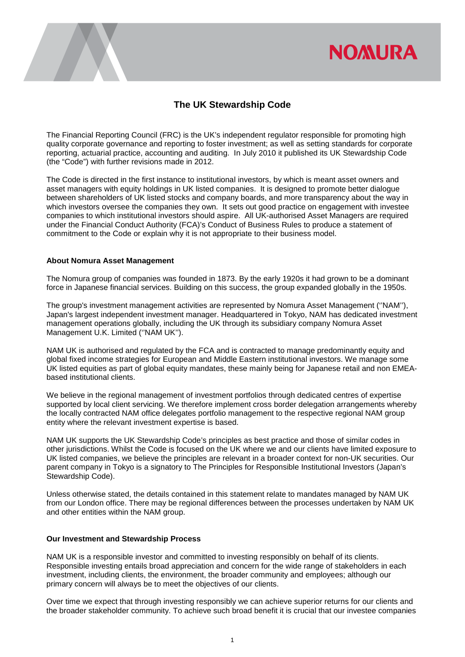

# **The UK Stewardship Code**

The Financial Reporting Council (FRC) is the UK's independent regulator responsible for promoting high quality corporate governance and reporting to foster investment; as well as setting standards for corporate reporting, actuarial practice, accounting and auditing. In July 2010 it published its UK Stewardship Code (the "Code") with further revisions made in 2012.

The Code is directed in the first instance to institutional investors, by which is meant asset owners and asset managers with equity holdings in UK listed companies. It is designed to promote better dialogue between shareholders of UK listed stocks and company boards, and more transparency about the way in which investors oversee the companies they own. It sets out good practice on engagement with investee companies to which institutional investors should aspire. All UK-authorised Asset Managers are required under the Financial Conduct Authority (FCA)'s Conduct of Business Rules to produce a statement of commitment to the Code or explain why it is not appropriate to their business model.

## **About Nomura Asset Management**

The Nomura group of companies was founded in 1873. By the early 1920s it had grown to be a dominant force in Japanese financial services. Building on this success, the group expanded globally in the 1950s.

The group's investment management activities are represented by Nomura Asset Management (''NAM''), Japan's largest independent investment manager. Headquartered in Tokyo, NAM has dedicated investment management operations globally, including the UK through its subsidiary company Nomura Asset Management U.K. Limited (''NAM UK'').

NAM UK is authorised and regulated by the FCA and is contracted to manage predominantly equity and global fixed income strategies for European and Middle Eastern institutional investors. We manage some UK listed equities as part of global equity mandates, these mainly being for Japanese retail and non EMEAbased institutional clients.

We believe in the regional management of investment portfolios through dedicated centres of expertise supported by local client servicing. We therefore implement cross border delegation arrangements whereby the locally contracted NAM office delegates portfolio management to the respective regional NAM group entity where the relevant investment expertise is based.

NAM UK supports the UK Stewardship Code's principles as best practice and those of similar codes in other jurisdictions. Whilst the Code is focused on the UK where we and our clients have limited exposure to UK listed companies, we believe the principles are relevant in a broader context for non-UK securities. Our parent company in Tokyo is a signatory to The Principles for Responsible Institutional Investors (Japan's Stewardship Code).

Unless otherwise stated, the details contained in this statement relate to mandates managed by NAM UK from our London office. There may be regional differences between the processes undertaken by NAM UK and other entities within the NAM group.

## **Our Investment and Stewardship Process**

NAM UK is a responsible investor and committed to investing responsibly on behalf of its clients. Responsible investing entails broad appreciation and concern for the wide range of stakeholders in each investment, including clients, the environment, the broader community and employees; although our primary concern will always be to meet the objectives of our clients.

Over time we expect that through investing responsibly we can achieve superior returns for our clients and the broader stakeholder community. To achieve such broad benefit it is crucial that our investee companies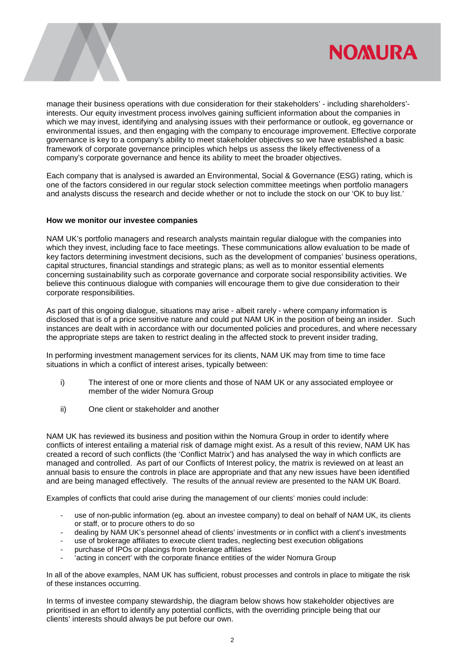

manage their business operations with due consideration for their stakeholders' - including shareholders' interests. Our equity investment process involves gaining sufficient information about the companies in which we may invest, identifying and analysing issues with their performance or outlook, eg governance or environmental issues, and then engaging with the company to encourage improvement. Effective corporate governance is key to a company's ability to meet stakeholder objectives so we have established a basic framework of corporate governance principles which helps us assess the likely effectiveness of a company's corporate governance and hence its ability to meet the broader objectives.

Each company that is analysed is awarded an Environmental, Social & Governance (ESG) rating, which is one of the factors considered in our regular stock selection committee meetings when portfolio managers and analysts discuss the research and decide whether or not to include the stock on our 'OK to buy list.'

## **How we monitor our investee companies**

NAM UK's portfolio managers and research analysts maintain regular dialogue with the companies into which they invest, including face to face meetings. These communications allow evaluation to be made of key factors determining investment decisions, such as the development of companies' business operations, capital structures, financial standings and strategic plans; as well as to monitor essential elements concerning sustainability such as corporate governance and corporate social responsibility activities. We believe this continuous dialogue with companies will encourage them to give due consideration to their corporate responsibilities.

As part of this ongoing dialogue, situations may arise - albeit rarely - where company information is disclosed that is of a price sensitive nature and could put NAM UK in the position of being an insider. Such instances are dealt with in accordance with our documented policies and procedures, and where necessary the appropriate steps are taken to restrict dealing in the affected stock to prevent insider trading,

In performing investment management services for its clients, NAM UK may from time to time face situations in which a conflict of interest arises, typically between:

- i) The interest of one or more clients and those of NAM UK or any associated employee or member of the wider Nomura Group
- ii) One client or stakeholder and another

NAM UK has reviewed its business and position within the Nomura Group in order to identify where conflicts of interest entailing a material risk of damage might exist. As a result of this review, NAM UK has created a record of such conflicts (the 'Conflict Matrix') and has analysed the way in which conflicts are managed and controlled. As part of our Conflicts of Interest policy, the matrix is reviewed on at least an annual basis to ensure the controls in place are appropriate and that any new issues have been identified and are being managed effectively. The results of the annual review are presented to the NAM UK Board.

Examples of conflicts that could arise during the management of our clients' monies could include:

- use of non-public information (eg. about an investee company) to deal on behalf of NAM UK, its clients or staff, or to procure others to do so
- dealing by NAM UK's personnel ahead of clients' investments or in conflict with a client's investments
- use of brokerage affiliates to execute client trades, neglecting best execution obligations
- purchase of IPOs or placings from brokerage affiliates
- 'acting in concert' with the corporate finance entities of the wider Nomura Group

In all of the above examples, NAM UK has sufficient, robust processes and controls in place to mitigate the risk of these instances occurring.

In terms of investee company stewardship, the diagram below shows how stakeholder objectives are prioritised in an effort to identify any potential conflicts, with the overriding principle being that our clients' interests should always be put before our own.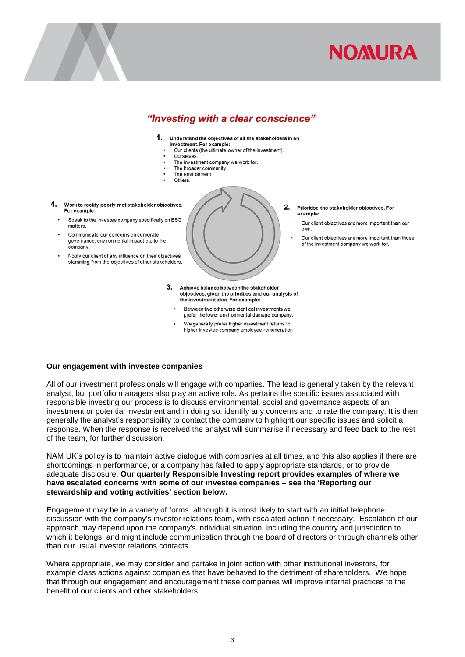

# "Investing with a clear conscience"

- $1<sup>1</sup>$ Understand the objectives of all the stakeholders in an
- investment. For example: Our clients (the ultimate owner of the investment)
	- Ourselves.
- The investment company we work for.
- The broader community The environment.
- Others.
- 4. Work to rectify poorly met stakeholder objectives. For example:
	- Speak to the investee company specifically on ESG matters.
	- Communicate our concerns on corporate governance, environmental impact etc to the company.
	- Notify our client of any influence on their objectives stemming from the objectives of other stakeholders.



- Prioritise the stakeholder objectives. For example:
	- Our client objectives are more important than our  $^{\text{num}}$
	- Our client objectives are more important than those of the investment company we work for.
- 3. Achieve balance between the stakeholder objectives, given the priorities and our analysis of the investment idea. For example:
	- Between two otherwise identical investments we prefer the lower environmental damage company.
	- We generally prefer higher investment returns to higher investee company employee remuneration

## **Our engagement with investee companies**

All of our investment professionals will engage with companies. The lead is generally taken by the relevant analyst, but portfolio managers also play an active role. As pertains the specific issues associated with responsible investing our process is to discuss environmental, social and governance aspects of an investment or potential investment and in doing so, identify any concerns and to rate the company. It is then generally the analyst's responsibility to contact the company to highlight our specific issues and solicit a response. When the response is received the analyst will summarise if necessary and feed back to the rest of the team, for further discussion.

NAM UK's policy is to maintain active dialogue with companies at all times, and this also applies if there are shortcomings in performance, or a company has failed to apply appropriate standards, or to provide adequate disclosure. **Our quarterly Responsible Investing report provides examples of where we have escalated concerns with some of our investee companies – see the 'Reporting our stewardship and voting activities' section below.**

Engagement may be in a variety of forms, although it is most likely to start with an initial telephone discussion with the company's investor relations team, with escalated action if necessary. Escalation of our approach may depend upon the company's individual situation, including the country and jurisdiction to which it belongs, and might include communication through the board of directors or through channels other than our usual investor relations contacts.

Where appropriate, we may consider and partake in joint action with other institutional investors, for example class actions against companies that have behaved to the detriment of shareholders. We hope that through our engagement and encouragement these companies will improve internal practices to the benefit of our clients and other stakeholders.